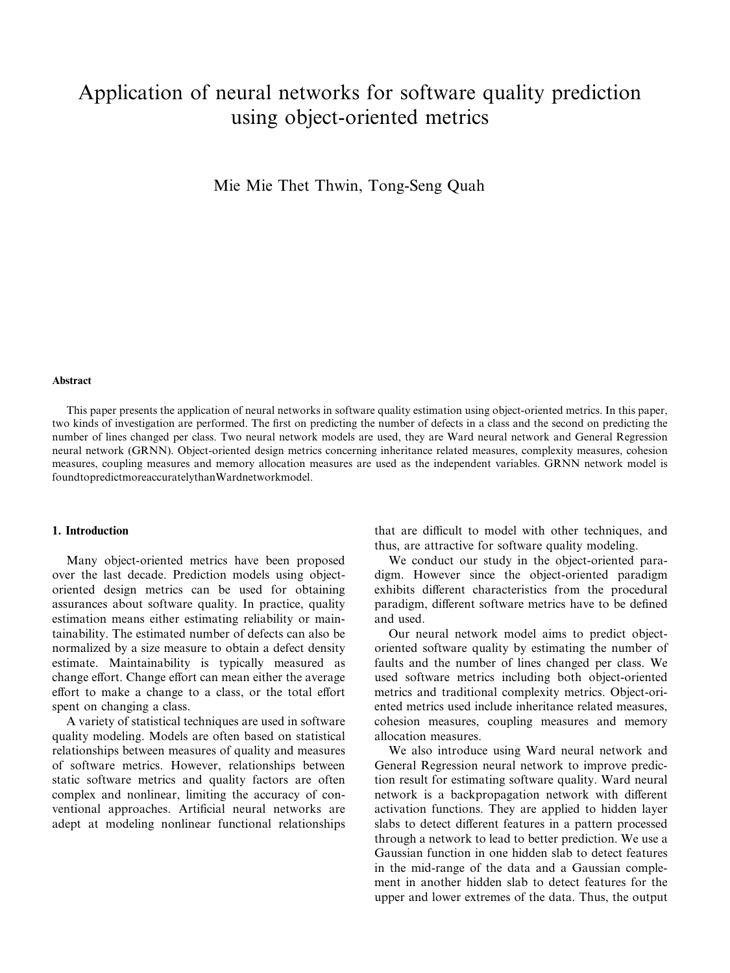# Application of neural networks for software quality prediction using object-oriented metrics

Mie Mie Thet Thwin, Tong-Seng Quah

#### Abstract

This paper presents the application of neural networks in software quality estimation using object-oriented metrics. In this paper, two kinds of investigation are performed. The first on predicting the number of defects in a class and the second on predicting the number of lines changed per class. Two neural network models are used, they are Ward neural network and General Regression neural network (GRNN). Object-oriented design metrics concerning inheritance related measures, complexity measures, cohesion measures, coupling measures and memory allocation measures are used as the independent variables. GRNN network model is foundtopredictmoreaccuratelythanWardnetworkmodel.

#### 1. Introduction

Many object-oriented metrics have been proposed over the last decade. Prediction models using objectoriented design metrics can be used for obtaining assurances about software quality. In practice, quality estimation means either estimating reliability or maintainability. The estimated number of defects can also be normalized by a size measure to obtain a defect density estimate. Maintainability is typically measured as change effort. Change effort can mean either the average effort to make a change to a class, or the total effort spent on changing a class.

A variety of statistical techniques are used in software quality modeling. Models are often based on statistical relationships between measures of quality and measures of software metrics. However, relationships between static software metrics and quality factors are often complex and nonlinear, limiting the accuracy of conventional approaches. Artificial neural networks are adept at modeling nonlinear functional relationships

that are difficult to model with other techniques, and thus, are attractive for software quality modeling.

We conduct our study in the object-oriented paradigm. However since the object-oriented paradigm exhibits different characteristics from the procedural paradigm, different software metrics have to be defined and used.

Our neural network model aims to predict objectoriented software quality by estimating the number of faults and the number of lines changed per class. We used software metrics including both object-oriented metrics and traditional complexity metrics. Object-oriented metrics used include inheritance related measures, cohesion measures, coupling measures and memory allocation measures.

We also introduce using Ward neural network and General Regression neural network to improve prediction result for estimating software quality. Ward neural network is a backpropagation network with different activation functions. They are applied to hidden layer slabs to detect different features in a pattern processed through a network to lead to better prediction. We use a Gaussian function in one hidden slab to detect features in the mid-range of the data and a Gaussian complement in another hidden slab to detect features for the upper and lower extremes of the data. Thus, the output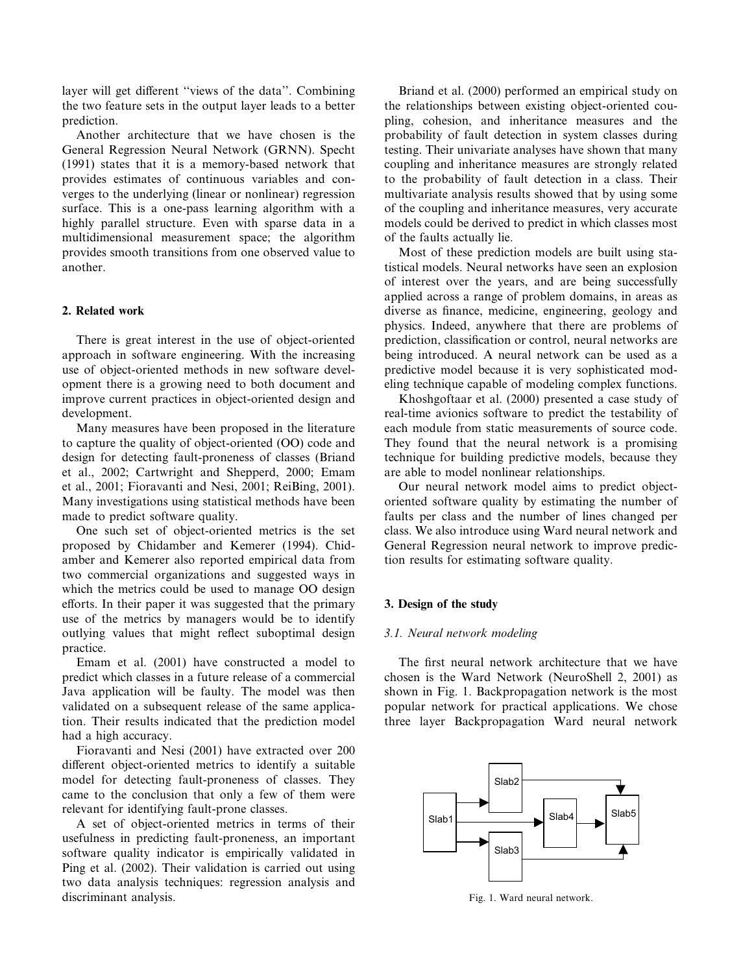layer will get different ''views of the data''. Combining the two feature sets in the output layer leads to a better prediction.

Another architecture that we have chosen is the General Regression Neural Network (GRNN). Specht (1991) states that it is a memory-based network that provides estimates of continuous variables and converges to the underlying (linear or nonlinear) regression surface. This is a one-pass learning algorithm with a highly parallel structure. Even with sparse data in a multidimensional measurement space; the algorithm provides smooth transitions from one observed value to another.

# 2. Related work

There is great interest in the use of object-oriented approach in software engineering. With the increasing use of object-oriented methods in new software development there is a growing need to both document and improve current practices in object-oriented design and development.

Many measures have been proposed in the literature to capture the quality of object-oriented (OO) code and design for detecting fault-proneness of classes (Briand et al., 2002; Cartwright and Shepperd, 2000; Emam et al., 2001; Fioravanti and Nesi, 2001; ReiBing, 2001). Many investigations using statistical methods have been made to predict software quality.

One such set of object-oriented metrics is the set proposed by Chidamber and Kemerer (1994). Chidamber and Kemerer also reported empirical data from two commercial organizations and suggested ways in which the metrics could be used to manage OO design efforts. In their paper it was suggested that the primary use of the metrics by managers would be to identify outlying values that might reflect suboptimal design practice.

Emam et al. (2001) have constructed a model to predict which classes in a future release of a commercial Java application will be faulty. The model was then validated on a subsequent release of the same application. Their results indicated that the prediction model had a high accuracy.

Fioravanti and Nesi (2001) have extracted over 200 different object-oriented metrics to identify a suitable model for detecting fault-proneness of classes. They came to the conclusion that only a few of them were relevant for identifying fault-prone classes.

A set of object-oriented metrics in terms of their usefulness in predicting fault-proneness, an important software quality indicator is empirically validated in Ping et al. (2002). Their validation is carried out using two data analysis techniques: regression analysis and discriminant analysis.

Briand et al. (2000) performed an empirical study on the relationships between existing object-oriented coupling, cohesion, and inheritance measures and the probability of fault detection in system classes during testing. Their univariate analyses have shown that many coupling and inheritance measures are strongly related to the probability of fault detection in a class. Their multivariate analysis results showed that by using some of the coupling and inheritance measures, very accurate models could be derived to predict in which classes most of the faults actually lie.

Most of these prediction models are built using statistical models. Neural networks have seen an explosion of interest over the years, and are being successfully applied across a range of problem domains, in areas as diverse as finance, medicine, engineering, geology and physics. Indeed, anywhere that there are problems of prediction, classification or control, neural networks are being introduced. A neural network can be used as a predictive model because it is very sophisticated modeling technique capable of modeling complex functions.

Khoshgoftaar et al. (2000) presented a case study of real-time avionics software to predict the testability of each module from static measurements of source code. They found that the neural network is a promising technique for building predictive models, because they are able to model nonlinear relationships.

Our neural network model aims to predict objectoriented software quality by estimating the number of faults per class and the number of lines changed per class. We also introduce using Ward neural network and General Regression neural network to improve prediction results for estimating software quality.

### 3. Design of the study

#### 3.1. Neural network modeling

The first neural network architecture that we have chosen is the Ward Network (NeuroShell 2, 2001) as shown in Fig. 1. Backpropagation network is the most popular network for practical applications. We chose three layer Backpropagation Ward neural network



Fig. 1. Ward neural network.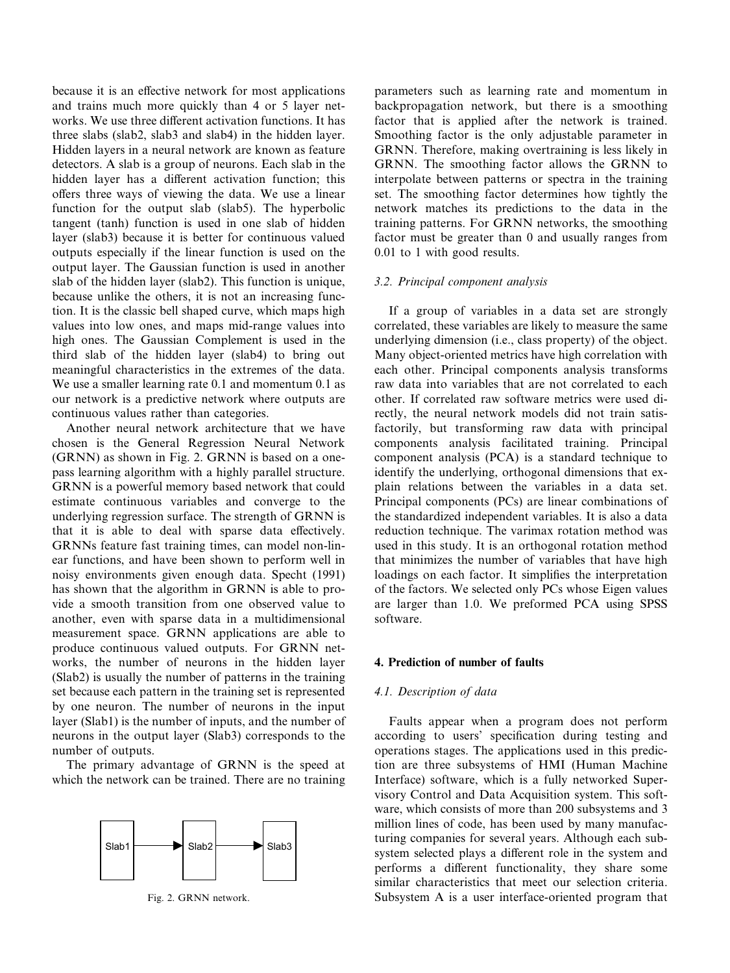because it is an effective network for most applications and trains much more quickly than 4 or 5 layer networks. We use three different activation functions. It has three slabs (slab2, slab3 and slab4) in the hidden layer. Hidden layers in a neural network are known as feature detectors. A slab is a group of neurons. Each slab in the hidden layer has a different activation function; this offers three ways of viewing the data. We use a linear function for the output slab (slab5). The hyperbolic tangent (tanh) function is used in one slab of hidden layer (slab3) because it is better for continuous valued outputs especially if the linear function is used on the output layer. The Gaussian function is used in another slab of the hidden layer (slab2). This function is unique, because unlike the others, it is not an increasing function. It is the classic bell shaped curve, which maps high values into low ones, and maps mid-range values into high ones. The Gaussian Complement is used in the third slab of the hidden layer (slab4) to bring out meaningful characteristics in the extremes of the data. We use a smaller learning rate 0.1 and momentum 0.1 as our network is a predictive network where outputs are continuous values rather than categories.

Another neural network architecture that we have chosen is the General Regression Neural Network (GRNN) as shown in Fig. 2. GRNN is based on a onepass learning algorithm with a highly parallel structure. GRNN is a powerful memory based network that could estimate continuous variables and converge to the underlying regression surface. The strength of GRNN is that it is able to deal with sparse data effectively. GRNNs feature fast training times, can model non-linear functions, and have been shown to perform well in noisy environments given enough data. Specht (1991) has shown that the algorithm in GRNN is able to provide a smooth transition from one observed value to another, even with sparse data in a multidimensional measurement space. GRNN applications are able to produce continuous valued outputs. For GRNN networks, the number of neurons in the hidden layer (Slab2) is usually the number of patterns in the training set because each pattern in the training set is represented by one neuron. The number of neurons in the input layer (Slab1) is the number of inputs, and the number of neurons in the output layer (Slab3) corresponds to the number of outputs.

The primary advantage of GRNN is the speed at which the network can be trained. There are no training



Fig. 2. GRNN network.

parameters such as learning rate and momentum in backpropagation network, but there is a smoothing factor that is applied after the network is trained. Smoothing factor is the only adjustable parameter in GRNN. Therefore, making overtraining is less likely in GRNN. The smoothing factor allows the GRNN to interpolate between patterns or spectra in the training set. The smoothing factor determines how tightly the network matches its predictions to the data in the training patterns. For GRNN networks, the smoothing factor must be greater than 0 and usually ranges from 0.01 to 1 with good results.

### 3.2. Principal component analysis

If a group of variables in a data set are strongly correlated, these variables are likely to measure the same underlying dimension (i.e., class property) of the object. Many object-oriented metrics have high correlation with each other. Principal components analysis transforms raw data into variables that are not correlated to each other. If correlated raw software metrics were used directly, the neural network models did not train satisfactorily, but transforming raw data with principal components analysis facilitated training. Principal component analysis (PCA) is a standard technique to identify the underlying, orthogonal dimensions that explain relations between the variables in a data set. Principal components (PCs) are linear combinations of the standardized independent variables. It is also a data reduction technique. The varimax rotation method was used in this study. It is an orthogonal rotation method that minimizes the number of variables that have high loadings on each factor. It simplifies the interpretation of the factors. We selected only PCs whose Eigen values are larger than 1.0. We preformed PCA using SPSS software.

# 4. Prediction of number of faults

#### 4.1. Description of data

Faults appear when a program does not perform according to users' specification during testing and operations stages. The applications used in this prediction are three subsystems of HMI (Human Machine Interface) software, which is a fully networked Supervisory Control and Data Acquisition system. This software, which consists of more than 200 subsystems and 3 million lines of code, has been used by many manufacturing companies for several years. Although each subsystem selected plays a different role in the system and performs a different functionality, they share some similar characteristics that meet our selection criteria. Subsystem A is a user interface-oriented program that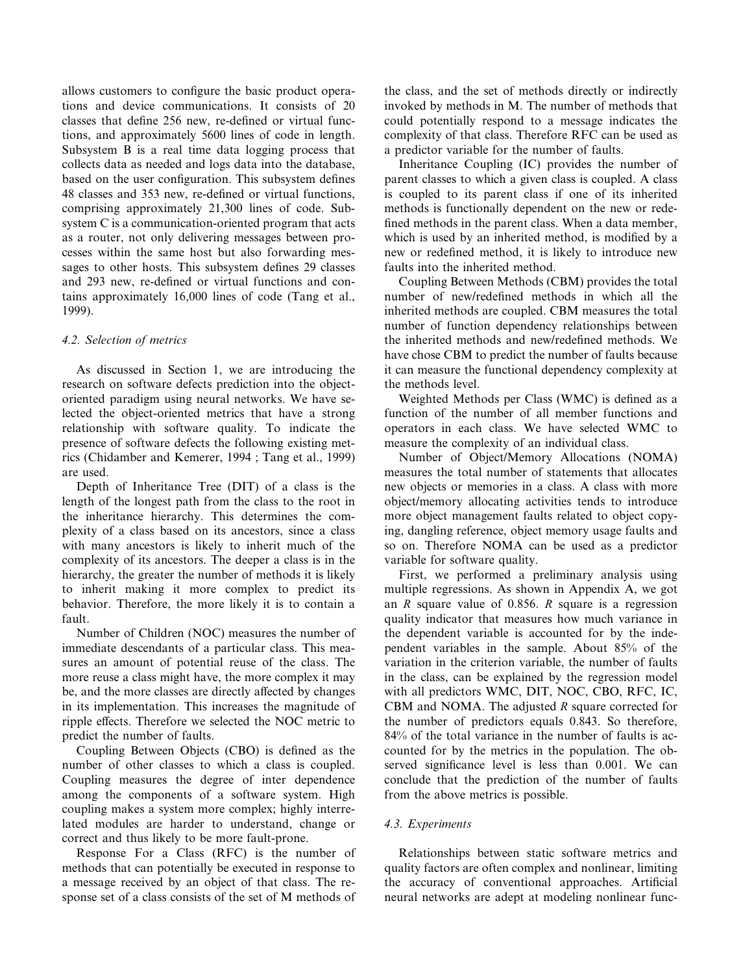allows customers to configure the basic product operations and device communications. It consists of 20 classes that define 256 new, re-defined or virtual functions, and approximately 5600 lines of code in length. Subsystem B is a real time data logging process that collects data as needed and logs data into the database, based on the user configuration. This subsystem defines 48 classes and 353 new, re-defined or virtual functions, comprising approximately 21,300 lines of code. Subsystem C is a communication-oriented program that acts as a router, not only delivering messages between processes within the same host but also forwarding messages to other hosts. This subsystem defines 29 classes and 293 new, re-defined or virtual functions and contains approximately 16,000 lines of code (Tang et al., 1999).

# 4.2. Selection of metrics

As discussed in Section 1, we are introducing the research on software defects prediction into the objectoriented paradigm using neural networks. We have selected the object-oriented metrics that have a strong relationship with software quality. To indicate the presence of software defects the following existing metrics (Chidamber and Kemerer, 1994 ; Tang et al., 1999) are used.

Depth of Inheritance Tree (DIT) of a class is the length of the longest path from the class to the root in the inheritance hierarchy. This determines the complexity of a class based on its ancestors, since a class with many ancestors is likely to inherit much of the complexity of its ancestors. The deeper a class is in the hierarchy, the greater the number of methods it is likely to inherit making it more complex to predict its behavior. Therefore, the more likely it is to contain a fault.

Number of Children (NOC) measures the number of immediate descendants of a particular class. This measures an amount of potential reuse of the class. The more reuse a class might have, the more complex it may be, and the more classes are directly affected by changes in its implementation. This increases the magnitude of ripple effects. Therefore we selected the NOC metric to predict the number of faults.

Coupling Between Objects (CBO) is defined as the number of other classes to which a class is coupled. Coupling measures the degree of inter dependence among the components of a software system. High coupling makes a system more complex; highly interrelated modules are harder to understand, change or correct and thus likely to be more fault-prone.

Response For a Class (RFC) is the number of methods that can potentially be executed in response to a message received by an object of that class. The response set of a class consists of the set of M methods of the class, and the set of methods directly or indirectly invoked by methods in M. The number of methods that could potentially respond to a message indicates the complexity of that class. Therefore RFC can be used as a predictor variable for the number of faults.

Inheritance Coupling (IC) provides the number of parent classes to which a given class is coupled. A class is coupled to its parent class if one of its inherited methods is functionally dependent on the new or redefined methods in the parent class. When a data member, which is used by an inherited method, is modified by a new or redefined method, it is likely to introduce new faults into the inherited method.

Coupling Between Methods (CBM) provides the total number of new/redefined methods in which all the inherited methods are coupled. CBM measures the total number of function dependency relationships between the inherited methods and new/redefined methods. We have chose CBM to predict the number of faults because it can measure the functional dependency complexity at the methods level.

Weighted Methods per Class (WMC) is defined as a function of the number of all member functions and operators in each class. We have selected WMC to measure the complexity of an individual class.

Number of Object/Memory Allocations (NOMA) measures the total number of statements that allocates new objects or memories in a class. A class with more object/memory allocating activities tends to introduce more object management faults related to object copying, dangling reference, object memory usage faults and so on. Therefore NOMA can be used as a predictor variable for software quality.

First, we performed a preliminary analysis using multiple regressions. As shown in Appendix A, we got an  $R$  square value of 0.856.  $R$  square is a regression quality indicator that measures how much variance in the dependent variable is accounted for by the independent variables in the sample. About 85% of the variation in the criterion variable, the number of faults in the class, can be explained by the regression model with all predictors WMC, DIT, NOC, CBO, RFC, IC, CBM and NOMA. The adjusted  *square corrected for* the number of predictors equals 0.843. So therefore, 84% of the total variance in the number of faults is accounted for by the metrics in the population. The observed significance level is less than 0.001. We can conclude that the prediction of the number of faults from the above metrics is possible.

# 4.3. Experiments

Relationships between static software metrics and quality factors are often complex and nonlinear, limiting the accuracy of conventional approaches. Artificial neural networks are adept at modeling nonlinear func-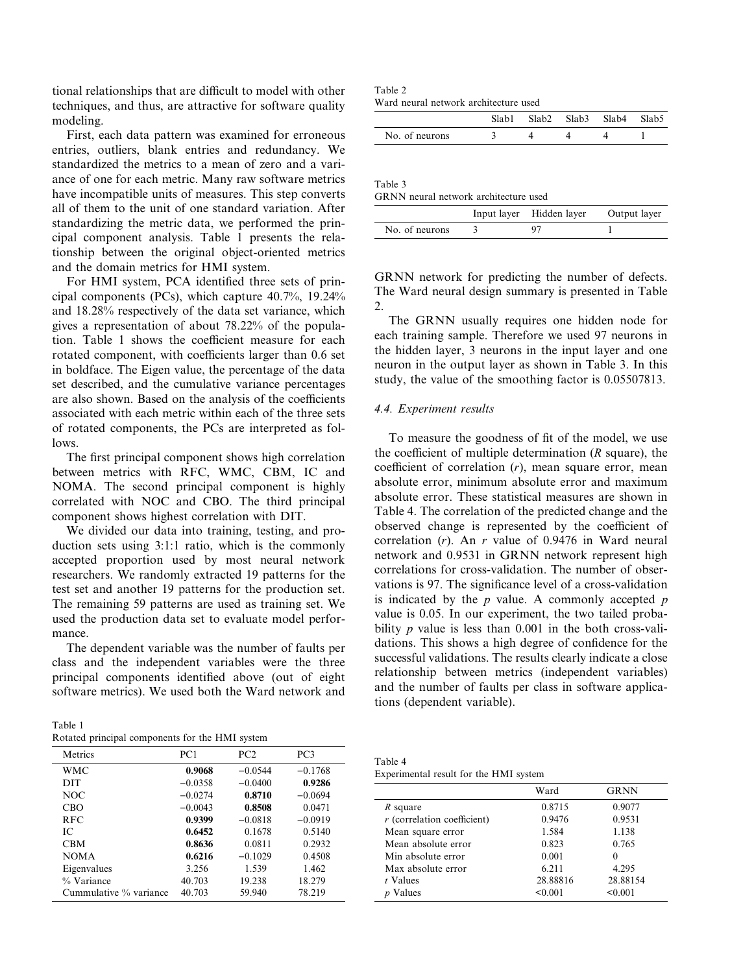tional relationships that are difficult to model with other techniques, and thus, are attractive for software quality modeling.

First, each data pattern was examined for erroneous entries, outliers, blank entries and redundancy. We standardized the metrics to a mean of zero and a variance of one for each metric. Many raw software metrics have incompatible units of measures. This step converts all of them to the unit of one standard variation. After standardizing the metric data, we performed the principal component analysis. Table 1 presents the relationship between the original object-oriented metrics and the domain metrics for HMI system.

For HMI system, PCA identified three sets of principal components (PCs), which capture 40.7%, 19.24% and 18.28% respectively of the data set variance, which gives a representation of about 78.22% of the population. Table 1 shows the coefficient measure for each rotated component, with coefficients larger than 0.6 set in boldface. The Eigen value, the percentage of the data set described, and the cumulative variance percentages are also shown. Based on the analysis of the coefficients associated with each metric within each of the three sets of rotated components, the PCs are interpreted as follows.

The first principal component shows high correlation between metrics with RFC, WMC, CBM, IC and NOMA. The second principal component is highly correlated with NOC and CBO. The third principal component shows highest correlation with DIT.

We divided our data into training, testing, and production sets using 3:1:1 ratio, which is the commonly accepted proportion used by most neural network researchers. We randomly extracted 19 patterns for the test set and another 19 patterns for the production set. The remaining 59 patterns are used as training set. We used the production data set to evaluate model performance.

The dependent variable was the number of faults per class and the independent variables were the three principal components identified above (out of eight software metrics). We used both the Ward network and

Table 1

| Rotated principal components for the HMI system |  |  |  |  |
|-------------------------------------------------|--|--|--|--|
|-------------------------------------------------|--|--|--|--|

| Metrics                | PC1       | PC <sub>2</sub> | PC <sub>3</sub> |
|------------------------|-----------|-----------------|-----------------|
| <b>WMC</b>             | 0.9068    | $-0.0544$       | $-0.1768$       |
| DIT                    | $-0.0358$ | $-0.0400$       | 0.9286          |
| NOC.                   | $-0.0274$ | 0.8710          | $-0.0694$       |
| CBO                    | $-0.0043$ | 0.8508          | 0.0471          |
| <b>RFC</b>             | 0.9399    | $-0.0818$       | $-0.0919$       |
| IС                     | 0.6452    | 0.1678          | 0.5140          |
| <b>CBM</b>             | 0.8636    | 0.0811          | 0.2932          |
| <b>NOMA</b>            | 0.6216    | $-0.1029$       | 0.4508          |
| Eigenvalues            | 3.256     | 1.539           | 1.462           |
| % Variance             | 40.703    | 19.238          | 18.279          |
| Cummulative % variance | 40.703    | 59.940          | 78.219          |

Table 2 Ward neural network architecture used

|                | Slab1 - |  | Slab2 Slab3 Slab4 | Slab <sub>5</sub> |
|----------------|---------|--|-------------------|-------------------|
| No. of neurons |         |  |                   |                   |

Table 3

GRNN neural network architecture used

|                | Input layer Hidden layer | Output layer |
|----------------|--------------------------|--------------|
| No. of neurons | 97                       |              |

GRNN network for predicting the number of defects. The Ward neural design summary is presented in Table 2.

The GRNN usually requires one hidden node for each training sample. Therefore we used 97 neurons in the hidden layer, 3 neurons in the input layer and one neuron in the output layer as shown in Table 3. In this study, the value of the smoothing factor is 0.05507813.

# 4.4. Experiment results

To measure the goodness of fit of the model, we use the coefficient of multiple determination  $(R \text{ square})$ , the coefficient of correlation  $(r)$ , mean square error, mean absolute error, minimum absolute error and maximum absolute error. These statistical measures are shown in Table 4. The correlation of the predicted change and the observed change is represented by the coefficient of correlation  $(r)$ . An r value of 0.9476 in Ward neural network and 0.9531 in GRNN network represent high correlations for cross-validation. The number of observations is 97. The significance level of a cross-validation is indicated by the  $p$  value. A commonly accepted  $p$ value is 0.05. In our experiment, the two tailed probability  $p$  value is less than 0.001 in the both cross-validations. This shows a high degree of confidence for the successful validations. The results clearly indicate a close relationship between metrics (independent variables) and the number of faults per class in software applications (dependent variable).

Table 4 Experimental result for the HMI system

|                               | Ward     | <b>GRNN</b> |
|-------------------------------|----------|-------------|
| R square                      | 0.8715   | 0.9077      |
| $r$ (correlation coefficient) | 0.9476   | 0.9531      |
| Mean square error             | 1.584    | 1.138       |
| Mean absolute error           | 0.823    | 0.765       |
| Min absolute error            | 0.001    | $\Omega$    |
| Max absolute error            | 6.211    | 4.295       |
| t Values                      | 28.88816 | 28.88154    |
| Values                        | < 0.001  | < 0.001     |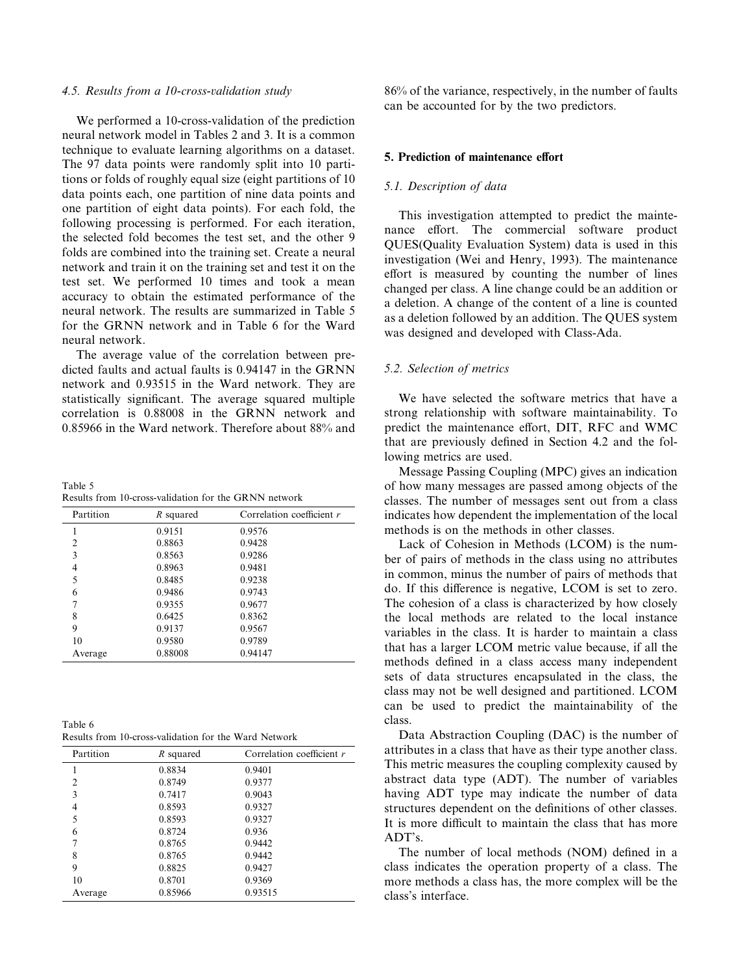## 4.5. Results from a 10-cross-validation study

We performed a 10-cross-validation of the prediction neural network model in Tables 2 and 3. It is a common technique to evaluate learning algorithms on a dataset. The 97 data points were randomly split into 10 partitions or folds of roughly equal size (eight partitions of 10 data points each, one partition of nine data points and one partition of eight data points). For each fold, the following processing is performed. For each iteration, the selected fold becomes the test set, and the other 9 folds are combined into the training set. Create a neural network and train it on the training set and test it on the test set. We performed 10 times and took a mean accuracy to obtain the estimated performance of the neural network. The results are summarized in Table 5 for the GRNN network and in Table 6 for the Ward neural network.

The average value of the correlation between predicted faults and actual faults is 0.94147 in the GRNN network and 0.93515 in the Ward network. They are statistically significant. The average squared multiple correlation is 0.88008 in the GRNN network and 0.85966 in the Ward network. Therefore about 88% and

Table 5 Results from 10-cross-validation for the GRNN network

| Partition      | R squared | Correlation coefficient r |
|----------------|-----------|---------------------------|
|                | 0.9151    | 0.9576                    |
| $\mathfrak{D}$ | 0.8863    | 0.9428                    |
| 3              | 0.8563    | 0.9286                    |
| 4              | 0.8963    | 0.9481                    |
| 5              | 0.8485    | 0.9238                    |
| 6              | 0.9486    | 0.9743                    |
|                | 0.9355    | 0.9677                    |
| 8              | 0.6425    | 0.8362                    |
| 9              | 0.9137    | 0.9567                    |
| 10             | 0.9580    | 0.9789                    |
| Average        | 0.88008   | 0.94147                   |

Table 6 Results from 10-cross-validation for the Ward Network

| Partition      | R squared | Correlation coefficient r |
|----------------|-----------|---------------------------|
|                | 0.8834    | 0.9401                    |
| $\mathfrak{D}$ | 0.8749    | 0.9377                    |
| 3              | 0.7417    | 0.9043                    |
| 4              | 0.8593    | 0.9327                    |
| 5              | 0.8593    | 0.9327                    |
| 6              | 0.8724    | 0.936                     |
| 7              | 0.8765    | 0.9442                    |
| 8              | 0.8765    | 0.9442                    |
| 9              | 0.8825    | 0.9427                    |
| 10             | 0.8701    | 0.9369                    |
| Average        | 0.85966   | 0.93515                   |

86% of the variance, respectively, in the number of faults can be accounted for by the two predictors.

#### 5. Prediction of maintenance effort

#### 5.1. Description of data

This investigation attempted to predict the maintenance effort. The commercial software product QUES(Quality Evaluation System) data is used in this investigation (Wei and Henry, 1993). The maintenance effort is measured by counting the number of lines changed per class. A line change could be an addition or a deletion. A change of the content of a line is counted as a deletion followed by an addition. The QUES system was designed and developed with Class-Ada.

#### 5.2. Selection of metrics

We have selected the software metrics that have a strong relationship with software maintainability. To predict the maintenance effort, DIT, RFC and WMC that are previously defined in Section 4.2 and the following metrics are used.

Message Passing Coupling (MPC) gives an indication of how many messages are passed among objects of the classes. The number of messages sent out from a class indicates how dependent the implementation of the local methods is on the methods in other classes.

Lack of Cohesion in Methods (LCOM) is the number of pairs of methods in the class using no attributes in common, minus the number of pairs of methods that do. If this difference is negative, LCOM is set to zero. The cohesion of a class is characterized by how closely the local methods are related to the local instance variables in the class. It is harder to maintain a class that has a larger LCOM metric value because, if all the methods defined in a class access many independent sets of data structures encapsulated in the class, the class may not be well designed and partitioned. LCOM can be used to predict the maintainability of the class.

Data Abstraction Coupling (DAC) is the number of attributes in a class that have as their type another class. This metric measures the coupling complexity caused by abstract data type (ADT). The number of variables having ADT type may indicate the number of data structures dependent on the definitions of other classes. It is more difficult to maintain the class that has more ADT's.

The number of local methods (NOM) defined in a class indicates the operation property of a class. The more methods a class has, the more complex will be the class's interface.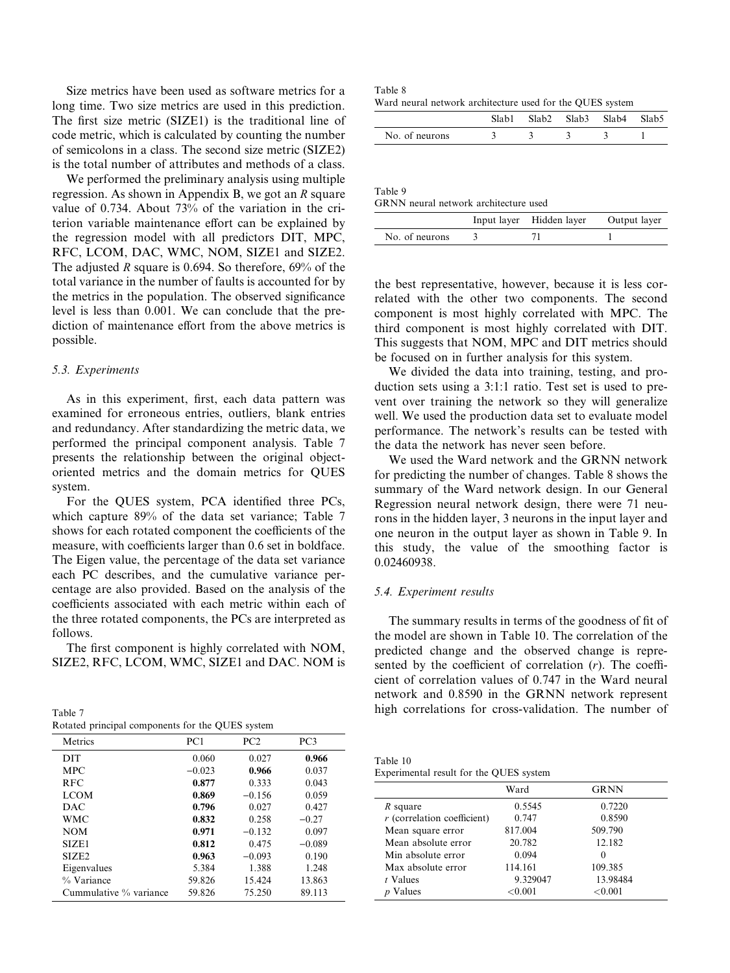Size metrics have been used as software metrics for a long time. Two size metrics are used in this prediction. The first size metric (SIZE1) is the traditional line of code metric, which is calculated by counting the number of semicolons in a class. The second size metric (SIZE2) is the total number of attributes and methods of a class.

We performed the preliminary analysis using multiple regression. As shown in Appendix B, we got an R square value of 0.734. About 73% of the variation in the criterion variable maintenance effort can be explained by the regression model with all predictors DIT, MPC, RFC, LCOM, DAC, WMC, NOM, SIZE1 and SIZE2. The adjusted R square is 0.694. So therefore,  $69\%$  of the total variance in the number of faults is accounted for by the metrics in the population. The observed significance level is less than 0.001. We can conclude that the prediction of maintenance effort from the above metrics is possible.

#### 5.3. Experiments

As in this experiment, first, each data pattern was examined for erroneous entries, outliers, blank entries and redundancy. After standardizing the metric data, we performed the principal component analysis. Table 7 presents the relationship between the original objectoriented metrics and the domain metrics for QUES system.

For the QUES system, PCA identified three PCs, which capture 89% of the data set variance; Table 7 shows for each rotated component the coefficients of the measure, with coefficients larger than 0.6 set in boldface. The Eigen value, the percentage of the data set variance each PC describes, and the cumulative variance percentage are also provided. Based on the analysis of the coefficients associated with each metric within each of the three rotated components, the PCs are interpreted as follows.

The first component is highly correlated with NOM, SIZE2, RFC, LCOM, WMC, SIZE1 and DAC. NOM is

| Table 7                                          |  |
|--------------------------------------------------|--|
| Rotated principal components for the QUES system |  |

| Metrics                | PC <sub>1</sub> | PC2      | PC <sub>3</sub> |
|------------------------|-----------------|----------|-----------------|
| DIT                    | 0.060           | 0.027    | 0.966           |
| <b>MPC</b>             | $-0.023$        | 0.966    | 0.037           |
| <b>RFC</b>             | 0.877           | 0.333    | 0.043           |
| <b>LCOM</b>            | 0.869           | $-0.156$ | 0.059           |
| <b>DAC</b>             | 0.796           | 0.027    | 0.427           |
| WMC                    | 0.832           | 0.258    | $-0.27$         |
| <b>NOM</b>             | 0.971           | $-0.132$ | 0.097           |
| SIZE1                  | 0.812           | 0.475    | $-0.089$        |
| SIZE <sub>2</sub>      | 0.963           | $-0.093$ | 0.190           |
| Eigenvalues            | 5.384           | 1.388    | 1.248           |
| % Variance             | 59.826          | 15.424   | 13.863          |
| Cummulative % variance | 59.826          | 75.250   | 89.113          |

| Table 8 |                                                           |  |
|---------|-----------------------------------------------------------|--|
|         | Ward neural network architecture used for the QUES system |  |

|                | Slab1 |  | Slab2 Slab3 Slab4 | Slab <sub>5</sub> |
|----------------|-------|--|-------------------|-------------------|
| No. of neurons |       |  |                   |                   |
|                |       |  |                   |                   |

| Table 9<br>GRNN neural network architecture used |                          |              |
|--------------------------------------------------|--------------------------|--------------|
|                                                  | Input layer Hidden layer | Output layer |
| No. of neurons                                   | -71                      |              |

the best representative, however, because it is less correlated with the other two components. The second component is most highly correlated with MPC. The third component is most highly correlated with DIT. This suggests that NOM, MPC and DIT metrics should be focused on in further analysis for this system.

We divided the data into training, testing, and production sets using a 3:1:1 ratio. Test set is used to prevent over training the network so they will generalize well. We used the production data set to evaluate model performance. The network's results can be tested with the data the network has never seen before.

We used the Ward network and the GRNN network for predicting the number of changes. Table 8 shows the summary of the Ward network design. In our General Regression neural network design, there were 71 neurons in the hidden layer, 3 neurons in the input layer and one neuron in the output layer as shown in Table 9. In this study, the value of the smoothing factor is 0.02460938.

# 5.4. Experiment results

The summary results in terms of the goodness of fit of the model are shown in Table 10. The correlation of the predicted change and the observed change is represented by the coefficient of correlation  $(r)$ . The coefficient of correlation values of 0.747 in the Ward neural network and 0.8590 in the GRNN network represent high correlations for cross-validation. The number of

Table 10 Experimental result for the QUES system

|                               | Ward       | <b>GRNN</b> |
|-------------------------------|------------|-------------|
| R square                      | 0.5545     | 0.7220      |
| $r$ (correlation coefficient) | 0.747      | 0.8590      |
| Mean square error             | 817.004    | 509.790     |
| Mean absolute error           | 20.782     | 12.182      |
| Min absolute error            | 0.094      | $\theta$    |
| Max absolute error            | 114.161    | 109.385     |
| t Values                      | 9.329047   | 13.98484    |
| Values                        | ${<}0.001$ | ${<}0.001$  |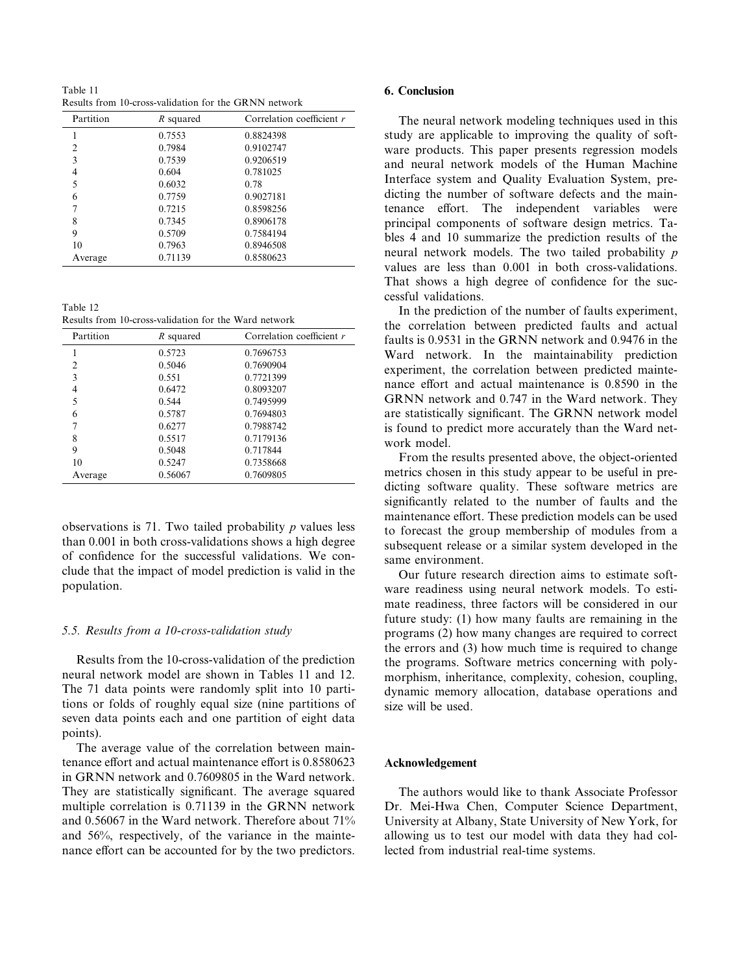Table 11 Results from 10-cross-validation for the GRNN network

| Partition | R squared | Correlation coefficient $r$ |
|-----------|-----------|-----------------------------|
|           | 0.7553    | 0.8824398                   |
| 2         | 0.7984    | 0.9102747                   |
| 3         | 0.7539    | 0.9206519                   |
| 4         | 0.604     | 0.781025                    |
| 5         | 0.6032    | 0.78                        |
| 6         | 0.7759    | 0.9027181                   |
| 7         | 0.7215    | 0.8598256                   |
| 8         | 0.7345    | 0.8906178                   |
| 9         | 0.5709    | 0.7584194                   |
| 10        | 0.7963    | 0.8946508                   |
| Average   | 0.71139   | 0.8580623                   |

Table 12

Results from 10-cross-validation for the Ward network

| Partition | R squared | Correlation coefficient r |
|-----------|-----------|---------------------------|
|           | 0.5723    | 0.7696753                 |
| 2         | 0.5046    | 0.7690904                 |
| 3         | 0.551     | 0.7721399                 |
| 4         | 0.6472    | 0.8093207                 |
| 5         | 0.544     | 0.7495999                 |
| 6         | 0.5787    | 0.7694803                 |
|           | 0.6277    | 0.7988742                 |
| 8         | 0.5517    | 0.7179136                 |
| 9         | 0.5048    | 0.717844                  |
| 10        | 0.5247    | 0.7358668                 |
| Average   | 0.56067   | 0.7609805                 |

observations is 71. Two tailed probability  $p$  values less than 0.001 in both cross-validations shows a high degree of confidence for the successful validations. We conclude that the impact of model prediction is valid in the population.

### 5.5. Results from a 10-cross-validation study

Results from the 10-cross-validation of the prediction neural network model are shown in Tables 11 and 12. The 71 data points were randomly split into 10 partitions or folds of roughly equal size (nine partitions of seven data points each and one partition of eight data points).

The average value of the correlation between maintenance effort and actual maintenance effort is 0.8580623 in GRNN network and 0.7609805 in the Ward network. They are statistically significant. The average squared multiple correlation is 0.71139 in the GRNN network and 0.56067 in the Ward network. Therefore about 71% and 56%, respectively, of the variance in the maintenance effort can be accounted for by the two predictors.

# 6. Conclusion

The neural network modeling techniques used in this study are applicable to improving the quality of software products. This paper presents regression models and neural network models of the Human Machine Interface system and Quality Evaluation System, predicting the number of software defects and the maintenance effort. The independent variables were principal components of software design metrics. Tables 4 and 10 summarize the prediction results of the neural network models. The two tailed probability p values are less than 0.001 in both cross-validations. That shows a high degree of confidence for the successful validations.

In the prediction of the number of faults experiment, the correlation between predicted faults and actual faults is 0.9531 in the GRNN network and 0.9476 in the Ward network. In the maintainability prediction experiment, the correlation between predicted maintenance effort and actual maintenance is 0.8590 in the GRNN network and 0.747 in the Ward network. They are statistically significant. The GRNN network model is found to predict more accurately than the Ward network model.

From the results presented above, the object-oriented metrics chosen in this study appear to be useful in predicting software quality. These software metrics are significantly related to the number of faults and the maintenance effort. These prediction models can be used to forecast the group membership of modules from a subsequent release or a similar system developed in the same environment.

Our future research direction aims to estimate software readiness using neural network models. To estimate readiness, three factors will be considered in our future study: (1) how many faults are remaining in the programs (2) how many changes are required to correct the errors and (3) how much time is required to change the programs. Software metrics concerning with polymorphism, inheritance, complexity, cohesion, coupling, dynamic memory allocation, database operations and size will be used.

#### Acknowledgement

The authors would like to thank Associate Professor Dr. Mei-Hwa Chen, Computer Science Department, University at Albany, State University of New York, for allowing us to test our model with data they had collected from industrial real-time systems.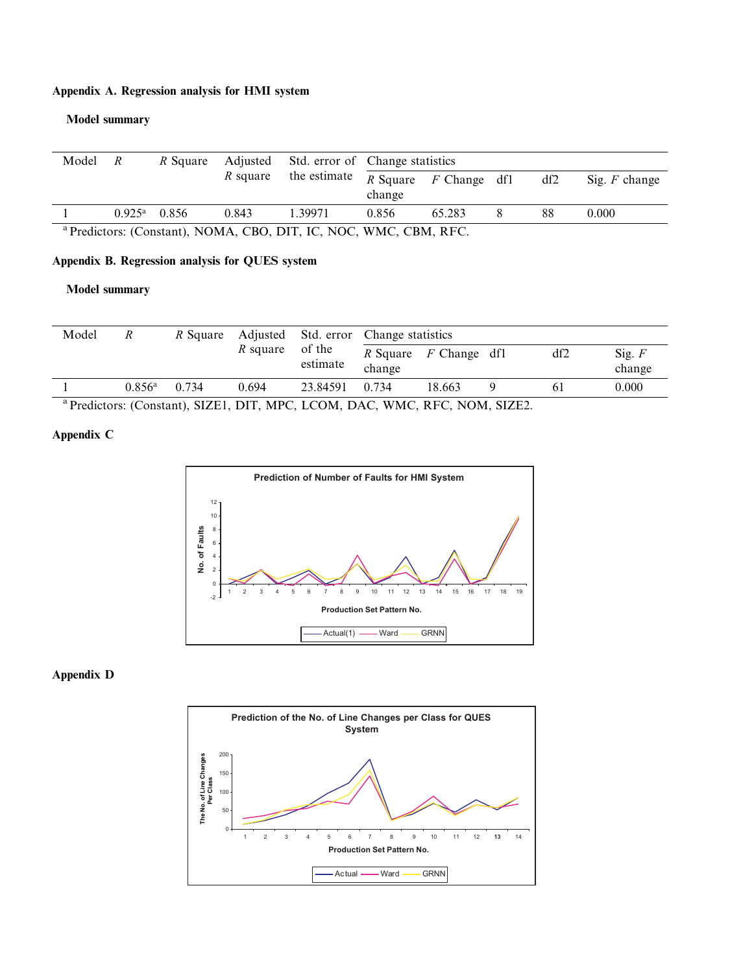# Appendix A. Regression analysis for HMI system

# Model summary

| Model                                                                        | $\overline{R}$  | R Square | Adjusted<br>R square | the estimate | Std. error of Change statistics |                           |  |     |                          |
|------------------------------------------------------------------------------|-----------------|----------|----------------------|--------------|---------------------------------|---------------------------|--|-----|--------------------------|
|                                                                              |                 |          |                      |              | change                          | $R$ Square $F$ Change df1 |  | df2 | $\mathrm{Sig.} F$ change |
|                                                                              | $0.925^{\rm a}$ | 0.856    | 0.843                | 1.39971      | 0.856                           | 65.283                    |  | 88  | 0.000                    |
| <sup>a</sup> Predictors: (Constant), NOMA, CBO, DIT, IC, NOC, WMC, CBM, RFC. |                 |          |                      |              |                                 |                           |  |     |                          |

# Appendix B. Regression analysis for QUES system

# Model summary

| Model                                                                        |                 | R Square | R square | of the<br>estimate | Adjusted Std. error Change statistics |                       |  |     |                    |
|------------------------------------------------------------------------------|-----------------|----------|----------|--------------------|---------------------------------------|-----------------------|--|-----|--------------------|
|                                                                              |                 |          |          |                    | change                                | R Square F Change df1 |  | df2 | Sig. $F$<br>change |
|                                                                              | $0.856^{\rm a}$ | 0.734    | 0.694    | 23.84591           | 0.734                                 | 18.663                |  |     | 0.000              |
| <sup>a</sup> Dredictors: (Constant) SIZE1 DIT MDC LCOM DAC WMC DEC NOM SIZE2 |                 |          |          |                    |                                       |                       |  |     |                    |

<sup>a</sup> Predictors: (Constant), SIZE1, DIT, MPC, LCOM, DAC, WMC, RFC, NOM, SIZE2.

# Appendix C



# Appendix D